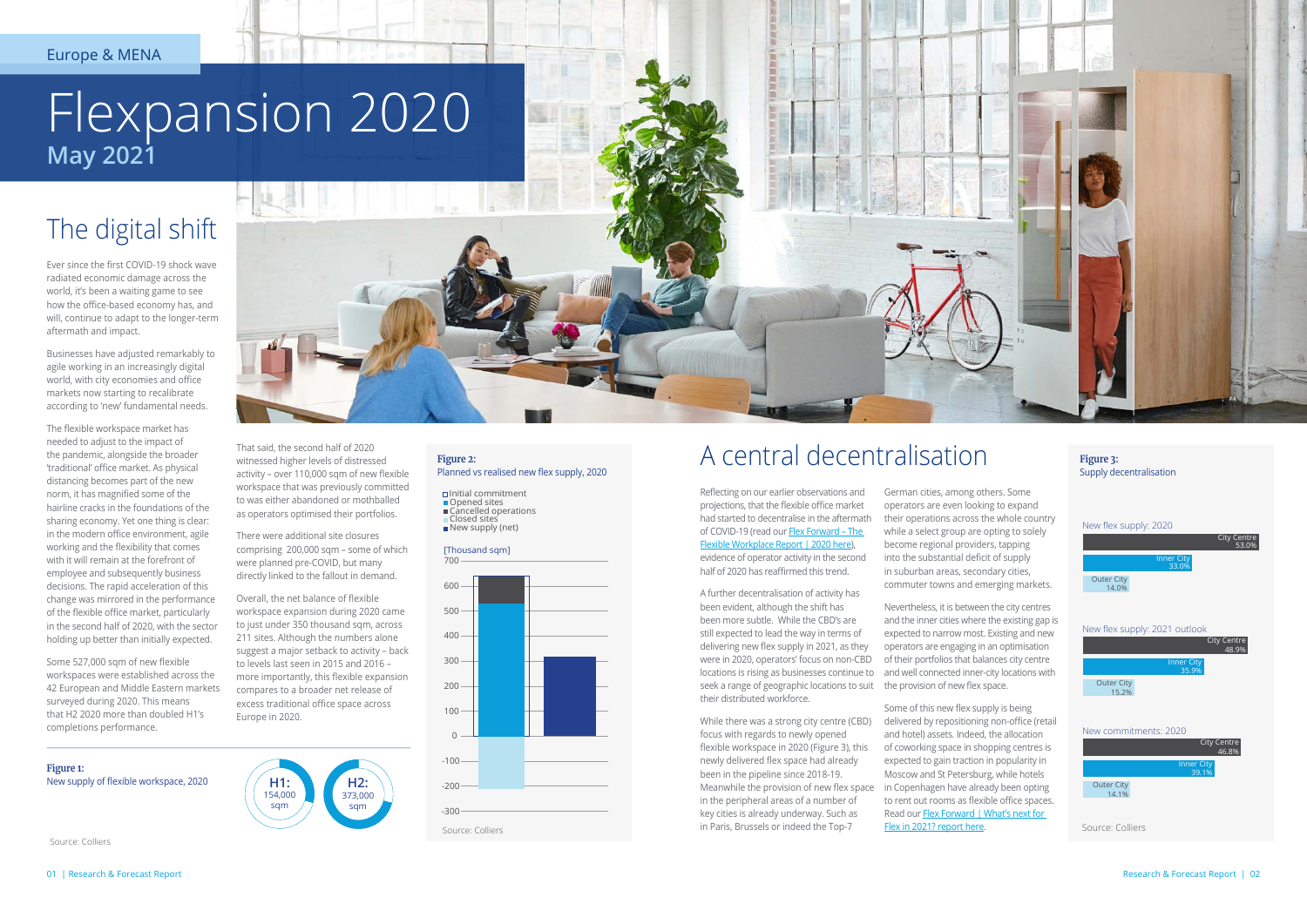## A central decentralisation

Reflecting on our earlier observations and projections, that the flexible office market had started to decentralise in the aftermath of COVID-19 (read our Flex Forward - The [Flexible Workplace Report | 2020 here](https://www.colliers.com/en-xe/research/202010-flex-forward-the-flexible-workspace-report-2020)), evidence of operator activity in the second half of 2020 has reaffirmed this trend.

A further decentralisation of activity has been evident, although the shift has been more subtle. While the CBD's are still expected to lead the way in terms of delivering new flex supply in 2021, as they were in 2020, operators' focus on non-CBD locations is rising as businesses continue to seek a range of geographic locations to suit the provision of new flex space. their distributed workforce.

While there was a strong city centre (CBD) focus with regards to newly opened flexible workspace in 2020 (Figure 3), this newly delivered flex space had already been in the pipeline since 2018-19. Meanwhile the provision of new flex space in the peripheral areas of a number of key cities is already underway. Such as in Paris, Brussels or indeed the Top-7

German cities, among others. Some operators are even looking to expand their operations across the whole country while a select group are opting to solely become regional providers, tapping into the substantial deficit of supply in suburban areas, secondary cities, commuter towns and emerging markets.

Nevertheless, it is between the city centres and the inner cities where the existing gap is expected to narrow most. Existing and new operators are engaging in an optimisation of their portfolios that balances city centre and well connected inner-city locations with

Some of this new flex supply is being delivered by repositioning non-office (retail and hotel) assets. Indeed, the allocation of coworking space in shopping centres is expected to gain traction in popularity in Moscow and St Petersburg, while hotels in Copenhagen have already been opting to rent out rooms as flexible office spaces. Read our Flex Forward | What's next for [Flex in 2021? report here](https://www.colliers.com/en-xe/research/202101-flex-forward-whats-next-for-flex-in-2021).

## The digital shift

Ever since the first COVID-19 shock wave radiated economic damage across the world, it's been a waiting game to see how the office-based economy has, and will, continue to adapt to the longer-term aftermath and impact.

- Planned vs realised new flex supply, 2020
- □Initial commitment
- 

Businesses have adjusted remarkably to agile working in an increasingly digital world, with city economies and office markets now starting to recalibrate according to 'new' fundamental needs.

The flexible workspace market has needed to adjust to the impact of the pandemic, alongside the broader 'traditional' office market. As physical distancing becomes part of the new norm, it has magnified some of the hairline cracks in the foundations of the sharing economy. Yet one thing is clear: in the modern office environment, agile working and the flexibility that comes with it will remain at the forefront of employee and subsequently business decisions. The rapid acceleration of this change was mirrored in the performance of the flexible office market, particularly in the second half of 2020, with the sector holding up better than initially expected.

Some 527,000 sqm of new flexible workspaces were established across the 42 European and Middle Eastern markets surveyed during 2020. This means that H2 2020 more than doubled H1's completions performance.

# Flexpansion 2020 **May 2021**

That said, the second half of 2020

to was either abandoned or mothballed as operators optimised their portfolios.

There were additional site closures comprising 200,000 sqm – some of which were planned pre-COVID, but many directly linked to the fallout in demand.

Overall, the net balance of flexible workspace expansion during 2020 came to just under 350 thousand sqm, across 211 sites. Although the numbers alone suggest a major setback to activity – back to levels last seen in 2015 and 2016 – more importantly, this flexible expansion compares to a broader net release of excess traditional office space across

witnessed higher levels of distressed activity – over 110,000 sqm of new flexible workspace that was previously committed **Figure 2:**

 $\Box$  Cancelled operations<br> $\Box$  Closed sites

New supply (net)

Europe in 2020.





[Thousand sqm]

**Figure 3:** Supply decentralisation



Source: Colliers



**Figure 1:** New supply of flexible workspace, 2020